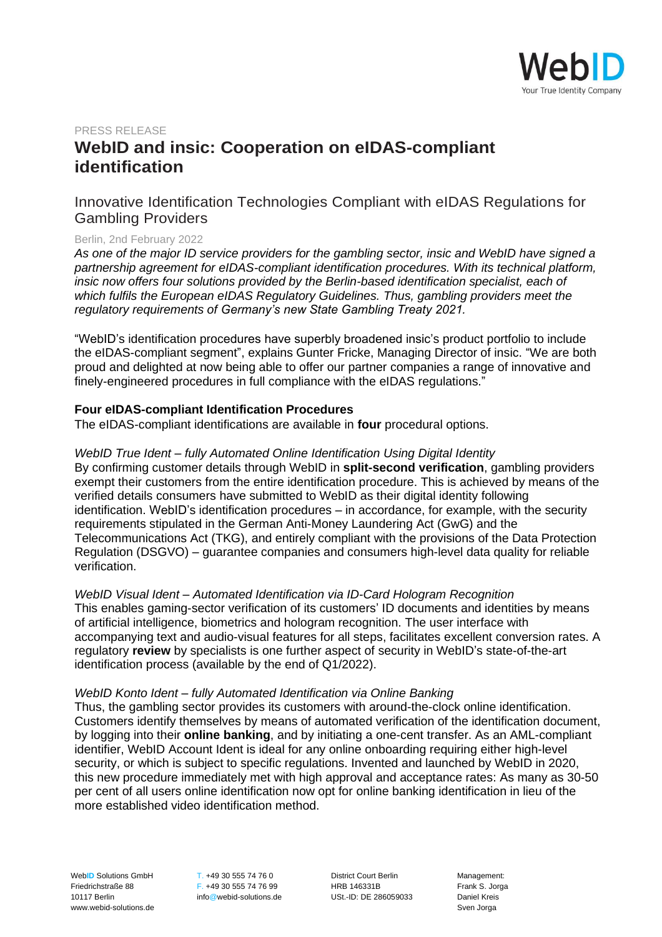

# PRESS RELEASE **WebID and insic: Cooperation on eIDAS-compliant identification**

# Innovative Identification Technologies Compliant with eIDAS Regulations for Gambling Providers

# Berlin, 2nd February 2022

*As one of the major ID service providers for the gambling sector, insic and WebID have signed a partnership agreement for eIDAS-compliant identification procedures. With its technical platform, insic now offers four solutions provided by the Berlin-based identification specialist, each of which fulfils the European eIDAS Regulatory Guidelines. Thus, gambling providers meet the regulatory requirements of Germany's new State Gambling Treaty 2021.*

"WebID's identification procedures have superbly broadened insic's product portfolio to include the eIDAS-compliant segment", explains Gunter Fricke, Managing Director of insic. "We are both proud and delighted at now being able to offer our partner companies a range of innovative and finely-engineered procedures in full compliance with the eIDAS regulations."

# **Four eIDAS-compliant Identification Procedures**

The eIDAS-compliant identifications are available in **four** procedural options.

# *WebID True Ident – fully Automated Online Identification Using Digital Identity*

By confirming customer details through WebID in **split-second verification**, gambling providers exempt their customers from the entire identification procedure. This is achieved by means of the verified details consumers have submitted to WebID as their digital identity following identification. WebID's identification procedures – in accordance, for example, with the security requirements stipulated in the German Anti-Money Laundering Act (GwG) and the Telecommunications Act (TKG), and entirely compliant with the provisions of the Data Protection Regulation (DSGVO) – guarantee companies and consumers high-level data quality for reliable verification.

*WebID Visual Ident – Automated Identification via ID-Card Hologram Recognition*

This enables gaming-sector verification of its customers' ID documents and identities by means of artificial intelligence, biometrics and hologram recognition. The user interface with accompanying text and audio-visual features for all steps, facilitates excellent conversion rates. A regulatory **review** by specialists is one further aspect of security in WebID's state-of-the-art identification process (available by the end of Q1/2022).

# *WebID Konto Ident – fully Automated Identification via Online Banking*

Thus, the gambling sector provides its customers with around-the-clock online identification. Customers identify themselves by means of automated verification of the identification document, by logging into their **online banking**, and by initiating a one-cent transfer. As an AML-compliant identifier, WebID Account Ident is ideal for any online onboarding requiring either high-level security, or which is subject to specific regulations. Invented and launched by WebID in 2020, this new procedure immediately met with high approval and acceptance rates: As many as 30-50 per cent of all users online identification now opt for online banking identification in lieu of the more established video identification method.

www.webid-solutions.de Sven Jorga and Sven Jorga and Sven Jorga and Sven Jorga and Sven Jorga and Sven Jorga and Sven Jorga and Sven Jorga and Sven Jorga and Sven Jorga and Sven Jorga and Sven Jorga and Sven Jorga and Sven

Web**ID** Solutions GmbH T. +49 30 555 74 76 0 District Court Berlin Management: Friedrichstraße 88 F. +49 30 555 74 76 99 HRB 146331B Frank S. Jorga<br>10117 Berlin Frank S. Jorga info@webid-solutions.de USt.-ID: DE 286059033 Daniel Kreis info@webid-solutions.de USt.-ID: DE 286059033 Daniel Kreis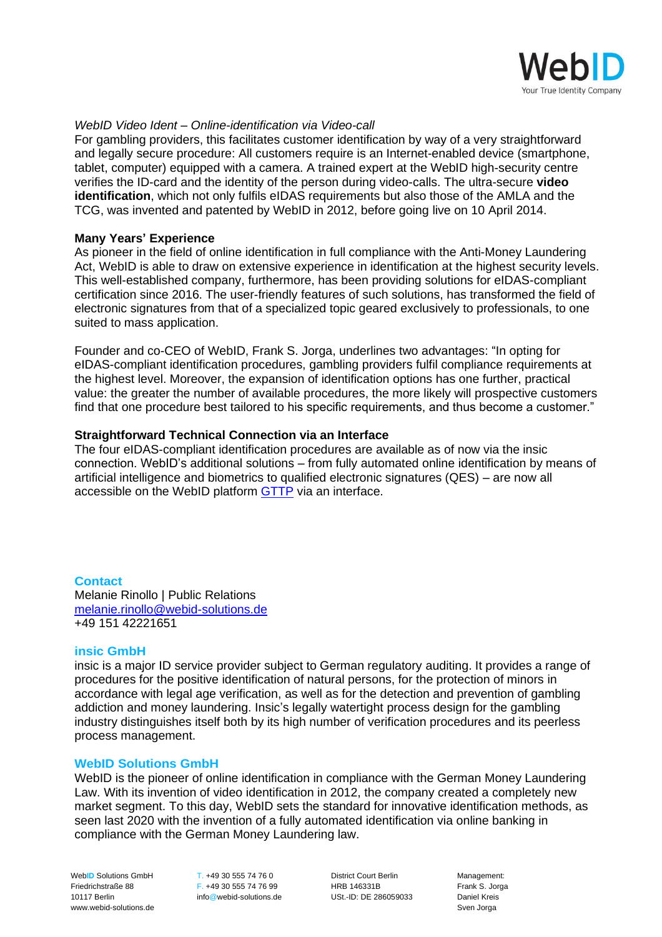

# *WebID Video Ident – Online-identification via Video-call*

For gambling providers, this facilitates customer identification by way of a very straightforward and legally secure procedure: All customers require is an Internet-enabled device (smartphone, tablet, computer) equipped with a camera. A trained expert at the WebID high-security centre verifies the ID-card and the identity of the person during video-calls. The ultra-secure **video identification**, which not only fulfils eIDAS requirements but also those of the AMLA and the TCG, was invented and patented by WebID in 2012, before going live on 10 April 2014.

# **Many Years' Experience**

As pioneer in the field of online identification in full compliance with the Anti-Money Laundering Act, WebID is able to draw on extensive experience in identification at the highest security levels. This well-established company, furthermore, has been providing solutions for eIDAS-compliant certification since 2016. The user-friendly features of such solutions, has transformed the field of electronic signatures from that of a specialized topic geared exclusively to professionals, to one suited to mass application.

Founder and co-CEO of WebID, Frank S. Jorga, underlines two advantages: "In opting for eIDAS-compliant identification procedures, gambling providers fulfil compliance requirements at the highest level. Moreover, the expansion of identification options has one further, practical value: the greater the number of available procedures, the more likely will prospective customers find that one procedure best tailored to his specific requirements, and thus become a customer."

# **Straightforward Technical Connection via an Interface**

The four eIDAS-compliant identification procedures are available as of now via the insic connection. WebID's additional solutions – from fully automated online identification by means of artificial intelligence and biometrics to qualified electronic signatures (QES) – are now all accessible on the WebID platform **GTTP** via an interface.

**Contact** Melanie Rinollo | Public Relations [melanie.rinollo@webid-solutions.de](mailto:melanie.rinollo@webid-solutions.de) +49 151 42221651

# **insic GmbH**

insic is a major ID service provider subject to German regulatory auditing. It provides a range of procedures for the positive identification of natural persons, for the protection of minors in accordance with legal age verification, as well as for the detection and prevention of gambling addiction and money laundering. Insic's legally watertight process design for the gambling industry distinguishes itself both by its high number of verification procedures and its peerless process management.

# **WebID Solutions GmbH**

WebID is the pioneer of online identification in compliance with the German Money Laundering Law. With its invention of video identification in 2012, the company created a completely new market segment. To this day, WebID sets the standard for innovative identification methods, as seen last 2020 with the invention of a fully automated identification via online banking in compliance with the German Money Laundering law.

www.webid-solutions.de Sven Jorga and Sven Jorga and Sven Jorga and Sven Jorga and Sven Jorga and Sven Jorga and Sven Jorga and Sven Jorga and Sven Jorga and Sven Jorga and Sven Jorga and Sven Jorga and Sven Jorga and Sven

Web**ID** Solutions GmbH T. +49 30 555 74 76 0 District Court Berlin Management: Friedrichstraße 88 F. +49 30 555 74 76 99 HRB 146331B Frank S. Jorga 10117 Berlin info@webid-solutions.de USt.-ID: DE 286059033 Daniel Kreis